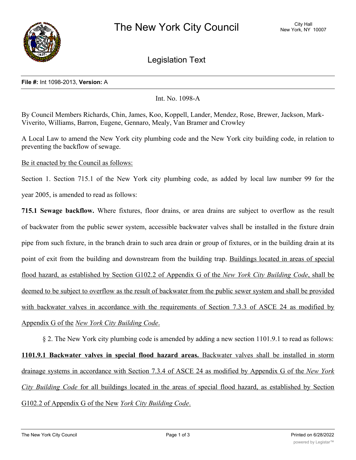

Legislation Text

## **File #:** Int 1098-2013, **Version:** A

Int. No. 1098-A

By Council Members Richards, Chin, James, Koo, Koppell, Lander, Mendez, Rose, Brewer, Jackson, Mark-Viverito, Williams, Barron, Eugene, Gennaro, Mealy, Van Bramer and Crowley

A Local Law to amend the New York city plumbing code and the New York city building code, in relation to preventing the backflow of sewage.

Be it enacted by the Council as follows:

Section 1. Section 715.1 of the New York city plumbing code, as added by local law number 99 for the year 2005, is amended to read as follows:

**715.1 Sewage backflow.** Where fixtures, floor drains, or area drains are subject to overflow as the result of backwater from the public sewer system, accessible backwater valves shall be installed in the fixture drain pipe from such fixture, in the branch drain to such area drain or group of fixtures, or in the building drain at its point of exit from the building and downstream from the building trap. Buildings located in areas of special flood hazard, as established by Section G102.2 of Appendix G of the *New York City Building Code*, shall be deemed to be subject to overflow as the result of backwater from the public sewer system and shall be provided with backwater valves in accordance with the requirements of Section 7.3.3 of ASCE 24 as modified by Appendix G of the *New York City Building Code*.

§ 2. The New York city plumbing code is amended by adding a new section 1101.9.1 to read as follows: **1101.9.1 Backwater valves in special flood hazard areas.** Backwater valves shall be installed in storm drainage systems in accordance with Section 7.3.4 of ASCE 24 as modified by Appendix G of the *New York City Building Code* for all buildings located in the areas of special flood hazard, as established by Section G102.2 of Appendix G of the New *York City Building Code*.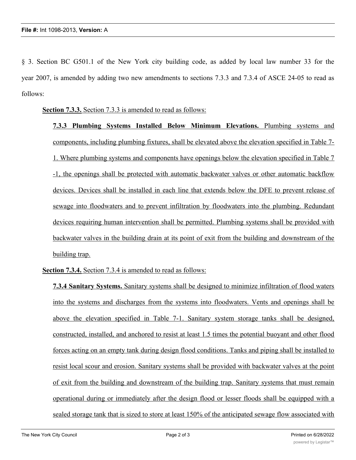§ 3. Section BC G501.1 of the New York city building code, as added by local law number 33 for the year 2007, is amended by adding two new amendments to sections 7.3.3 and 7.3.4 of ASCE 24-05 to read as follows:

**Section 7.3.3.** Section 7.3.3 is amended to read as follows:

**7.3.3 Plumbing Systems Installed Below Minimum Elevations.** Plumbing systems and components, including plumbing fixtures, shall be elevated above the elevation specified in Table 7- 1. Where plumbing systems and components have openings below the elevation specified in Table 7 -1, the openings shall be protected with automatic backwater valves or other automatic backflow devices. Devices shall be installed in each line that extends below the DFE to prevent release of sewage into floodwaters and to prevent infiltration by floodwaters into the plumbing. Redundant devices requiring human intervention shall be permitted. Plumbing systems shall be provided with backwater valves in the building drain at its point of exit from the building and downstream of the building trap.

**Section 7.3.4.** Section 7.3.4 is amended to read as follows:

**7.3.4 Sanitary Systems.** Sanitary systems shall be designed to minimize infiltration of flood waters into the systems and discharges from the systems into floodwaters. Vents and openings shall be above the elevation specified in Table 7-1. Sanitary system storage tanks shall be designed, constructed, installed, and anchored to resist at least 1.5 times the potential buoyant and other flood forces acting on an empty tank during design flood conditions. Tanks and piping shall be installed to resist local scour and erosion. Sanitary systems shall be provided with backwater valves at the point of exit from the building and downstream of the building trap. Sanitary systems that must remain operational during or immediately after the design flood or lesser floods shall be equipped with a sealed storage tank that is sized to store at least 150% of the anticipated sewage flow associated with